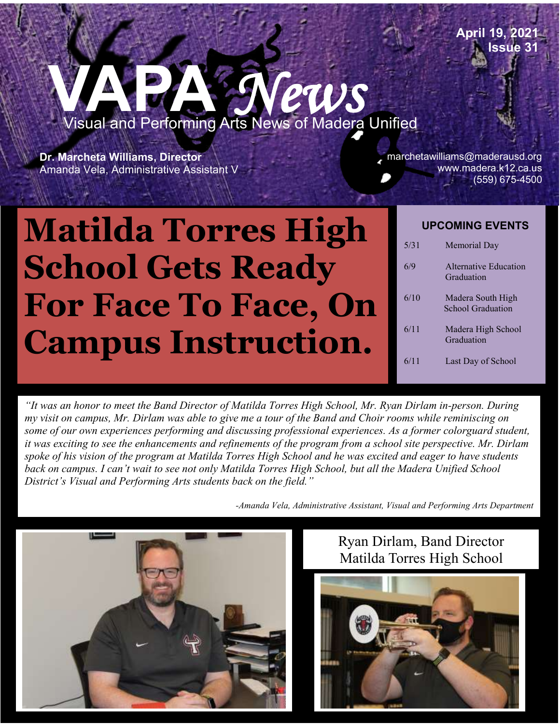## **VAPA** *News*  Visual and Performing Arts News of Madera Unified

Po#181769 School District **Dr. Marcheta Williams, Director** Amanda Vela, Administrative Assistant V

marchetawilliams@maderausd.org www.madera.k12.ca.us (559) 675-4500

**April 19, 2021** 

**Issue 31**

## ı **Matilda Torres High School Gets Ready For Face To Face, On Campus Instruction.**

| <b>UPCOMING EVENTS</b> |                                               |
|------------------------|-----------------------------------------------|
| 5/31                   | Memorial Day                                  |
| 6/9                    | Alternative Education<br>Graduation           |
| 6/10                   | Madera South High<br><b>School Graduation</b> |
| 6/11                   | Madera High School<br>Graduation              |
| 6/11                   | Last Day of School                            |

*"It was an honor to meet the Band Director of Matilda Torres High School, Mr. Ryan Dirlam in-person. During my visit on campus, Mr. Dirlam was able to give me a tour of the Band and Choir rooms while reminiscing on some of our own experiences performing and discussing professional experiences. As a former colorguard student, it was exciting to see the enhancements and refinements of the program from a school site perspective. Mr. Dirlam spoke of his vision of the program at Matilda Torres High School and he was excited and eager to have students back on campus. I can't wait to see not only Matilda Torres High School, but all the Madera Unified School District's Visual and Performing Arts students back on the field."*

*-Amanda Vela, Administrative Assistant, Visual and Performing Arts Department*



## Ryan Dirlam, Band Director Matilda Torres High School